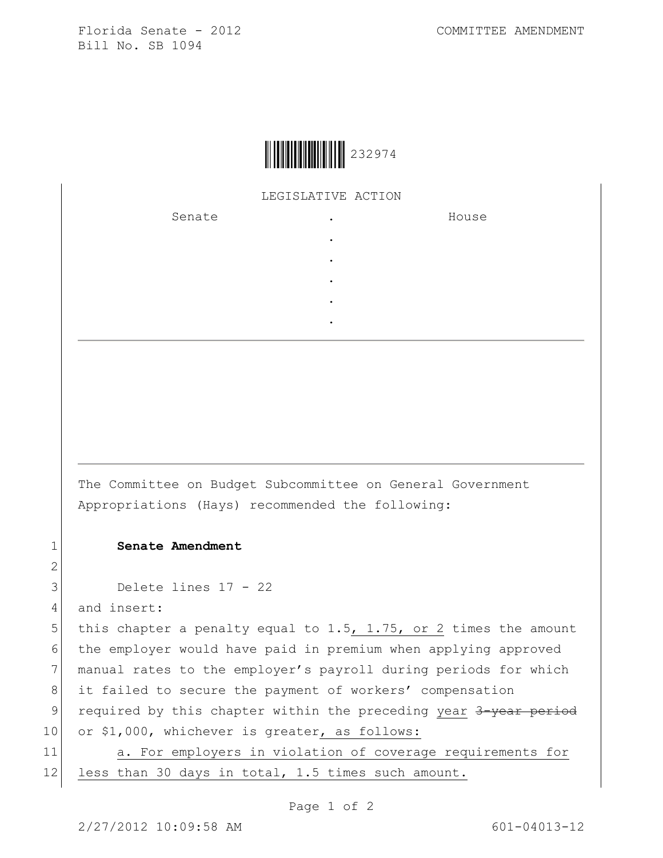

## LEGISLATIVE ACTION

. . . . .

Senate .

House

The Committee on Budget Subcommittee on General Government Appropriations (Hays) recommended the following:

## 1 **Senate Amendment**

```
3 Delete lines 17 - 22
```
4 and insert:

2

5 this chapter a penalty equal to 1.5, 1.75, or 2 times the amount 6 the employer would have paid in premium when applying approved 7 manual rates to the employer's payroll during periods for which 8 it failed to secure the payment of workers' compensation 9 required by this chapter within the preceding year 3-year period 10 or \$1,000, whichever is greater, as follows:

11 a. For employers in violation of coverage requirements for 12 less than 30 days in total, 1.5 times such amount.

Page 1 of 2